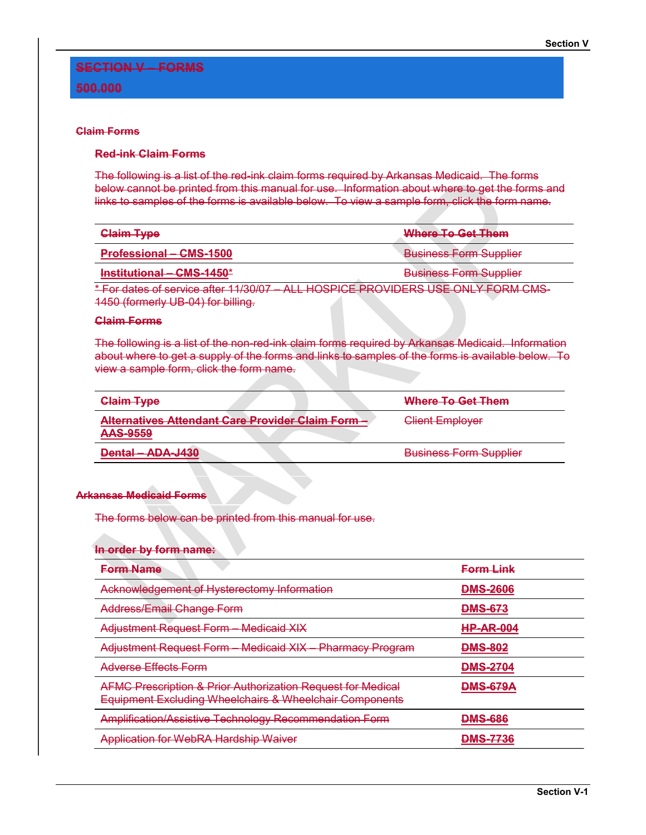# SECTION V – FORMS<br>500.000<br>Claim Forms

### Claim Forms

### Red-ink Claim Forms

|                                                                                    | <b>Section V</b>                                                                                                                                                                                                                                                                                                           |
|------------------------------------------------------------------------------------|----------------------------------------------------------------------------------------------------------------------------------------------------------------------------------------------------------------------------------------------------------------------------------------------------------------------------|
| <b>CTION V - FORMS</b>                                                             |                                                                                                                                                                                                                                                                                                                            |
|                                                                                    |                                                                                                                                                                                                                                                                                                                            |
| <del>000.(</del>                                                                   |                                                                                                                                                                                                                                                                                                                            |
|                                                                                    |                                                                                                                                                                                                                                                                                                                            |
| m Forms                                                                            |                                                                                                                                                                                                                                                                                                                            |
| <b>Red-ink Claim Forms</b>                                                         |                                                                                                                                                                                                                                                                                                                            |
|                                                                                    |                                                                                                                                                                                                                                                                                                                            |
| <b>Claim Type</b>                                                                  | The following is a list of the red-ink claim forms required by Arkansas Medicaid. The forms<br>below cannot be printed from this manual for use. Information about where to get the forms and<br>links to samples of the forms is available below. To view a sample form, click the form name.<br><b>Where To Get Them</b> |
| <b>Professional - CMS-1500</b>                                                     | <b>Business Form Supplier</b>                                                                                                                                                                                                                                                                                              |
| Institutional - CMS-1450*                                                          | <b>Business Form Supplier</b>                                                                                                                                                                                                                                                                                              |
| * For dates of service after 11/30/07<br>ΔII<br>1450 (formerly UB-04) for billing. | HOSPICE PROVIDERS USE ONLY FORM CMS-                                                                                                                                                                                                                                                                                       |
| <b>Claim Forms</b>                                                                 |                                                                                                                                                                                                                                                                                                                            |

# Claim Forms

| <b>Red-ink Claim Forms</b>                                                                                                                                                                             |                                          |
|--------------------------------------------------------------------------------------------------------------------------------------------------------------------------------------------------------|------------------------------------------|
| The following is a list of the red-ink claim forms required by Arkansas Medicaid. The forms                                                                                                            |                                          |
| below cannot be printed from this manual for use. Information about where to get the forms and<br>links to samples of the forms is available below. To view a sample form, click the form name.        |                                          |
| <b>Claim Type</b>                                                                                                                                                                                      | <b>Where To Get Them</b>                 |
| <b>Professional - CMS-1500</b>                                                                                                                                                                         | <b>Business Form Supplier</b>            |
| Institutional - CMS-1450*                                                                                                                                                                              | <b>Business Form Supplier</b>            |
|                                                                                                                                                                                                        |                                          |
| * For dates of service after 11/30/07<br>1450 (formerly UB-04) for billing.                                                                                                                            | ALL HOSPICE PROVIDERS USE ONLY FORM CMS- |
| <b>Claim Forms</b>                                                                                                                                                                                     |                                          |
|                                                                                                                                                                                                        |                                          |
| The following is a list of the non-red-ink claim forms required by Arkansas Medicaid. Information<br>about where to get a supply of the forms and links to samples of the forms is available below. To |                                          |
| view a sample form, click the form name.                                                                                                                                                               |                                          |
| <b>Claim Type</b>                                                                                                                                                                                      | Where To Get Them                        |
| <b>Alternatives Attendant Care Provider Claim Form-</b><br><b>AAS-9559</b>                                                                                                                             | <b>Client Employer</b>                   |

# Arkansas Medicaid Forms

### In order by form name:

| The following is a list of the non-red-ink claim forms required by Arkansas Medicaid. Information<br>about where to get a supply of the forms and links to samples of the forms is available below. To<br>view a sample form, click the form name. |                               |  |
|----------------------------------------------------------------------------------------------------------------------------------------------------------------------------------------------------------------------------------------------------|-------------------------------|--|
| <b>Claim Type</b>                                                                                                                                                                                                                                  | Where To Get Them             |  |
| Alternatives Attendant Care Provider Claim Form-<br><b>AAS-9559</b>                                                                                                                                                                                | <b>Client Employer</b>        |  |
| Dental - ADA-J430                                                                                                                                                                                                                                  | <b>Business Form Supplier</b> |  |
| ansas Medicaid Forms<br>The forms below can be printed from this manual for use.<br>In order by form name:                                                                                                                                         |                               |  |
| <b>Form Name</b>                                                                                                                                                                                                                                   | <b>Form Link</b>              |  |
| Acknowledgement of Hysterectomy Information                                                                                                                                                                                                        | <b>DMS-2606</b>               |  |
| Address/Email Change Form                                                                                                                                                                                                                          | <b>DMS-673</b>                |  |
| Adjustment Request Form - Medicaid XIX                                                                                                                                                                                                             | <b>HP-AR-004</b>              |  |
| Adjustment Request Form - Medicaid XIX - Pharmacy Program                                                                                                                                                                                          | <b>DMS-802</b>                |  |
| <b>Adverse Effects Form</b>                                                                                                                                                                                                                        | <b>DMS-2704</b>               |  |
| AFMC Prescription & Prior Authorization Request for Medical<br>Equipment Excluding Wheelchairs & Wheelchair Components                                                                                                                             | <b>DMS-679A</b>               |  |
| Amplification/Assistive Technology Recommendation Form                                                                                                                                                                                             | <b>DMS-686</b>                |  |
| Application for WebRA Hardship Waiver                                                                                                                                                                                                              | <b>DMS-7736</b>               |  |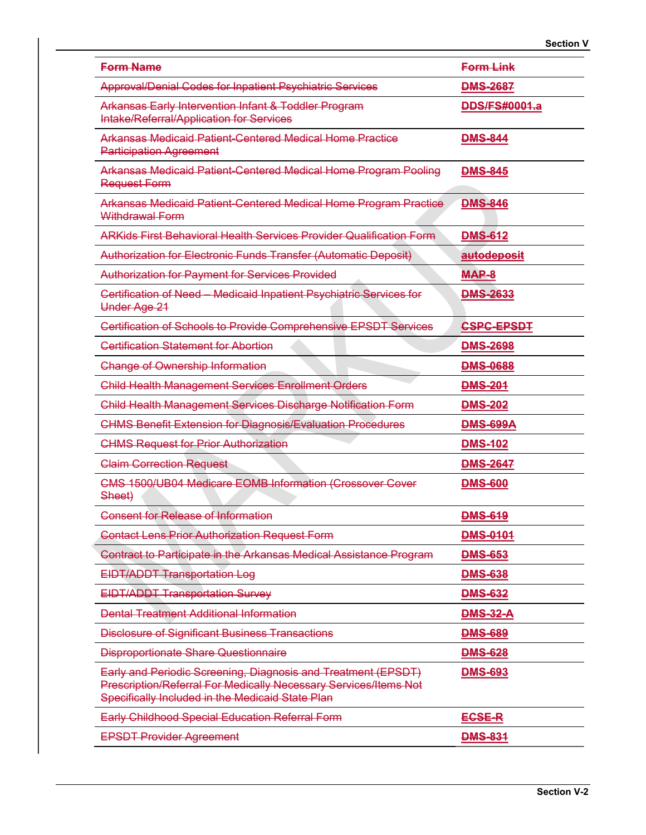| <b>Form Link</b><br><b>DMS-2687</b><br><b>DDS/FS#0001.a</b><br><b>DMS-844</b><br><b>DMS-845</b><br><b>DMS-846</b><br><b>DMS-612</b><br>autodeposit<br>MAP-8<br><b>DMS-2633</b><br><b>CSPC-EPSDT</b><br><b>DMS-2698</b><br><b>DMS-0688</b><br><b>DMS-201</b><br><b>DMS-202</b><br><b>DMS-699A</b><br><b>DMS-102</b><br><b>DMS-2647</b><br><b>DMS-600</b><br><b>DMS-619</b><br><b>DMS-0101</b><br><b>DMS-653</b><br><b>DMS-638</b><br><b>DMS-632</b><br><b>DMS-32-A</b><br><b>DMS-689</b><br><b>DMS-628</b><br><b>DMS-693</b><br><b>ECSE-R</b><br><b>DMS-831</b> |                                                                                                                                                                                       | <b>Section V</b> |
|----------------------------------------------------------------------------------------------------------------------------------------------------------------------------------------------------------------------------------------------------------------------------------------------------------------------------------------------------------------------------------------------------------------------------------------------------------------------------------------------------------------------------------------------------------------|---------------------------------------------------------------------------------------------------------------------------------------------------------------------------------------|------------------|
|                                                                                                                                                                                                                                                                                                                                                                                                                                                                                                                                                                | <b>Form Name</b>                                                                                                                                                                      |                  |
|                                                                                                                                                                                                                                                                                                                                                                                                                                                                                                                                                                | <b>Approval/Denial Codes for Inpatient Psychiatric Services</b>                                                                                                                       |                  |
|                                                                                                                                                                                                                                                                                                                                                                                                                                                                                                                                                                | Arkansas Early Intervention Infant & Toddler Program<br>Intake/Referral/Application for Services                                                                                      |                  |
|                                                                                                                                                                                                                                                                                                                                                                                                                                                                                                                                                                | Arkansas Medicaid Patient-Centered Medical Home Practice<br><b>Participation Agreement</b>                                                                                            |                  |
|                                                                                                                                                                                                                                                                                                                                                                                                                                                                                                                                                                | Arkansas Medicaid Patient-Centered Medical Home Program Pooling<br><b>Request Form</b>                                                                                                |                  |
|                                                                                                                                                                                                                                                                                                                                                                                                                                                                                                                                                                | Arkansas Medicaid Patient-Centered Medical Home Program Practice<br><b>Withdrawal Form</b>                                                                                            |                  |
|                                                                                                                                                                                                                                                                                                                                                                                                                                                                                                                                                                | <b>ARKids First Behavioral Health Services Provider Qualification Form</b>                                                                                                            |                  |
|                                                                                                                                                                                                                                                                                                                                                                                                                                                                                                                                                                | Authorization for Electronic Funds Transfer (Automatic Deposit)                                                                                                                       |                  |
|                                                                                                                                                                                                                                                                                                                                                                                                                                                                                                                                                                | <b>Authorization for Payment for Services Provided</b>                                                                                                                                |                  |
|                                                                                                                                                                                                                                                                                                                                                                                                                                                                                                                                                                | Certification of Need - Medicaid Inpatient Psychiatric Services for<br>Under Age 21                                                                                                   |                  |
|                                                                                                                                                                                                                                                                                                                                                                                                                                                                                                                                                                | Certification of Schools to Provide Comprehensive EPSDT Services                                                                                                                      |                  |
|                                                                                                                                                                                                                                                                                                                                                                                                                                                                                                                                                                | <b>Certification Statement for Abortion</b>                                                                                                                                           |                  |
|                                                                                                                                                                                                                                                                                                                                                                                                                                                                                                                                                                | <b>Change of Ownership Information</b>                                                                                                                                                |                  |
|                                                                                                                                                                                                                                                                                                                                                                                                                                                                                                                                                                | Child Health Management Services Enrollment Orders                                                                                                                                    |                  |
|                                                                                                                                                                                                                                                                                                                                                                                                                                                                                                                                                                | Child Health Management Services Discharge Notification Form                                                                                                                          |                  |
|                                                                                                                                                                                                                                                                                                                                                                                                                                                                                                                                                                | <b>CHMS Benefit Extension for Diagnosis/Evaluation Procedures</b>                                                                                                                     |                  |
|                                                                                                                                                                                                                                                                                                                                                                                                                                                                                                                                                                | <b>CHMS Request for Prior Authorization</b>                                                                                                                                           |                  |
|                                                                                                                                                                                                                                                                                                                                                                                                                                                                                                                                                                | <b>Claim Correction Request</b>                                                                                                                                                       |                  |
|                                                                                                                                                                                                                                                                                                                                                                                                                                                                                                                                                                | <b>CMS 1500/UB04 Medicare EOMB Information (Crossover Cover</b><br>Sheet)                                                                                                             |                  |
|                                                                                                                                                                                                                                                                                                                                                                                                                                                                                                                                                                | <b>Consent for Release of Information</b>                                                                                                                                             |                  |
|                                                                                                                                                                                                                                                                                                                                                                                                                                                                                                                                                                | <b>Contact Lens Prior Authorization Request Form</b>                                                                                                                                  |                  |
|                                                                                                                                                                                                                                                                                                                                                                                                                                                                                                                                                                | Contract to Participate in the Arkansas Medical Assistance Program                                                                                                                    |                  |
|                                                                                                                                                                                                                                                                                                                                                                                                                                                                                                                                                                | <b>EIDT/ADDT Transportation Log</b>                                                                                                                                                   |                  |
|                                                                                                                                                                                                                                                                                                                                                                                                                                                                                                                                                                | <b>EIDT/ADDT Transportation Survey</b>                                                                                                                                                |                  |
|                                                                                                                                                                                                                                                                                                                                                                                                                                                                                                                                                                | <b>Dental Treatment Additional Information</b>                                                                                                                                        |                  |
|                                                                                                                                                                                                                                                                                                                                                                                                                                                                                                                                                                | Disclosure of Significant Business Transactions                                                                                                                                       |                  |
|                                                                                                                                                                                                                                                                                                                                                                                                                                                                                                                                                                | Disproportionate Share Questionnaire                                                                                                                                                  |                  |
|                                                                                                                                                                                                                                                                                                                                                                                                                                                                                                                                                                | Early and Periodic Screening, Diagnosis and Treatment (EPSDT)<br>Prescription/Referral For Medically Necessary Services/Items Not<br>Specifically Included in the Medicaid State Plan |                  |
|                                                                                                                                                                                                                                                                                                                                                                                                                                                                                                                                                                | Early Childhood Special Education Referral Form                                                                                                                                       |                  |
|                                                                                                                                                                                                                                                                                                                                                                                                                                                                                                                                                                | <b>EPSDT Provider Agreement</b>                                                                                                                                                       |                  |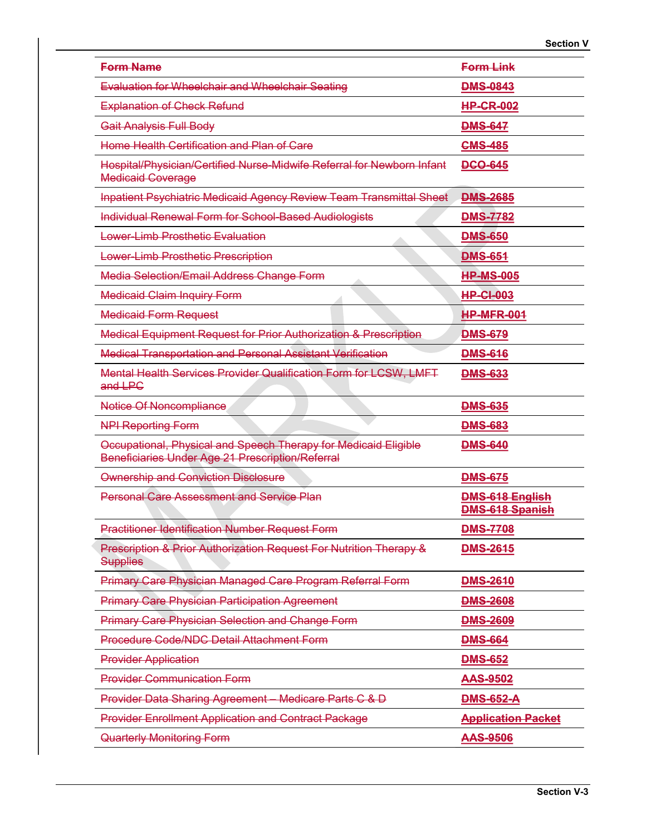|                                                                                                                     | <b>Section V</b>                                 |
|---------------------------------------------------------------------------------------------------------------------|--------------------------------------------------|
| <b>Form Name</b>                                                                                                    | <b>Form Link</b>                                 |
| Evaluation for Wheelchair and Wheelchair Seating                                                                    | <b>DMS-0843</b>                                  |
| <b>Explanation of Check Refund</b>                                                                                  | <b>HP-CR-002</b>                                 |
| Gait Analysis Full Body                                                                                             | <b>DMS-647</b>                                   |
| Home Health Certification and Plan of Care                                                                          | <b>CMS-485</b>                                   |
| Hospital/Physician/Certified Nurse-Midwife Referral for Newborn Infant<br><b>Medicaid Coverage</b>                  | <b>DCO-645</b>                                   |
| Inpatient Psychiatric Medicaid Agency Review Team Transmittal Sheet                                                 | <b>DMS-2685</b>                                  |
| Individual Renewal Form for School-Based Audiologists                                                               | <b>DMS-7782</b>                                  |
| <b>Lower-Limb Prosthetic Evaluation</b>                                                                             | <b>DMS-650</b>                                   |
| Lower-Limb Prosthetic Prescription                                                                                  | <b>DMS-654</b>                                   |
| Media Selection/Email Address Change Form                                                                           | <b>HP-MS-005</b>                                 |
| <b>Medicaid Claim Inquiry Form</b>                                                                                  | <b>HP-CI-003</b>                                 |
| <b>Medicaid Form Request</b>                                                                                        | <b>HP-MFR-001</b>                                |
| Medical Equipment Request for Prior Authorization & Prescription                                                    | <b>DMS-679</b>                                   |
| <b>Medical Transportation and Personal Assistant Verification</b>                                                   | <b>DMS-616</b>                                   |
| Mental Health Services Provider Qualification Form for LCSW, LMFT<br>and LPC                                        | <b>DMS-633</b>                                   |
| Notice Of Noncompliance                                                                                             | <b>DMS-635</b>                                   |
| <b>NPI Reporting Form</b>                                                                                           | <b>DMS-683</b>                                   |
| Occupational, Physical and Speech Therapy for Medicaid Eligible<br>Beneficiaries Under Age 21 Prescription/Referral | <b>DMS-640</b>                                   |
| <b>Ownership and Conviction Disclosure</b>                                                                          | <b>DMS-675</b>                                   |
| <b>Personal Care Assessment and Service Plan</b>                                                                    | <b>DMS-618 English</b><br><b>DMS-618 Spanish</b> |
| <b>Practitioner Identification Number Request Form</b>                                                              | <b>DMS-7708</b>                                  |
| Prescription & Prior Authorization Request For Nutrition Therapy &<br><b>Supplies</b>                               | <b>DMS-2615</b>                                  |
| Primary Care Physician Managed Care Program Referral Form                                                           | <b>DMS-2610</b>                                  |
| <b>Primary Care Physician Participation Agreement</b>                                                               | <b>DMS-2608</b>                                  |
| <b>Primary Care Physician Selection and Change Form</b>                                                             | <b>DMS-2609</b>                                  |
| Procedure Code/NDC Detail Attachment Form                                                                           | <b>DMS-664</b>                                   |
| <b>Provider Application</b>                                                                                         | <b>DMS-652</b>                                   |
| <b>Provider Communication Form</b>                                                                                  | <b>AAS-9502</b>                                  |
| Provider Data Sharing Agreement - Medicare Parts C & D                                                              | <b>DMS-652-A</b>                                 |
| <b>Provider Enrollment Application and Contract Package</b>                                                         | <b>Application Packet</b>                        |
| <b>Quarterly Monitoring Form</b>                                                                                    | <b>AAS-9506</b>                                  |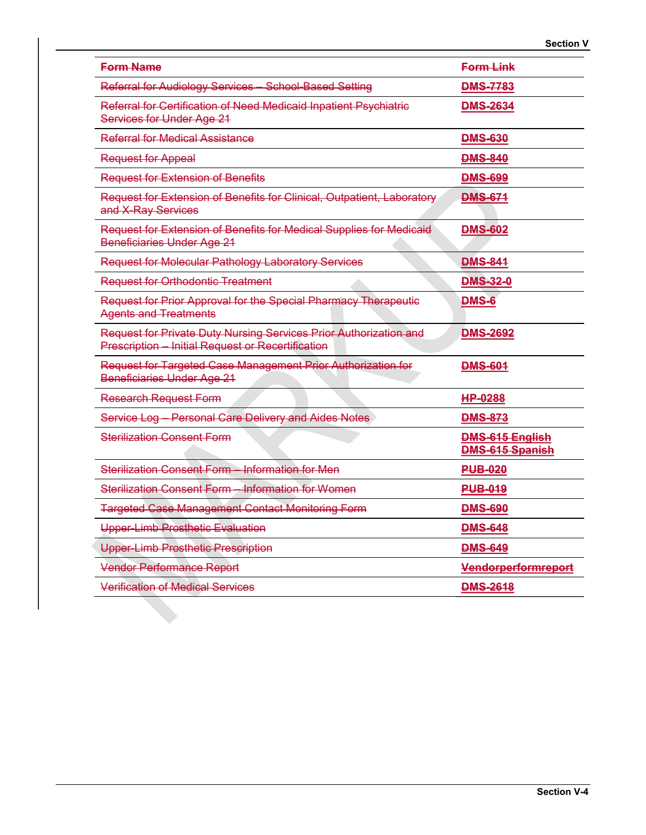| <b>Form Name</b>                                                                                                       | <b>Form Link</b>                                 |
|------------------------------------------------------------------------------------------------------------------------|--------------------------------------------------|
| Referral for Audiology Services - School-Based Setting                                                                 | <b>DMS-7783</b>                                  |
| Referral for Certification of Need Medicaid Inpatient Psychiatric<br>Services for Under Age 21                         | <b>DMS-2634</b>                                  |
| <b>Referral for Medical Assistance</b>                                                                                 | <b>DMS-630</b>                                   |
| <b>Request for Appeal</b>                                                                                              | <b>DMS-840</b>                                   |
| <b>Request for Extension of Benefits</b>                                                                               | <b>DMS-699</b>                                   |
| Request for Extension of Benefits for Clinical, Outpatient, Laboratory<br>and X-Ray Services                           | <b>DMS-671</b>                                   |
| Request for Extension of Benefits for Medical Supplies for Medicaid<br>Beneficiaries Under Age 21                      | <b>DMS-602</b>                                   |
| Request for Molecular Pathology Laboratory Services                                                                    | <b>DMS-841</b>                                   |
| Request for Orthodontic Treatment                                                                                      | <b>DMS-32-0</b>                                  |
| Request for Prior Approval for the Special Pharmacy Therapeutic<br>Agents and Treatments                               | <b>DMS-6</b>                                     |
| Request for Private Duty Nursing Services Prior Authorization and<br>Prescription - Initial Request or Recertification | <b>DMS-2692</b>                                  |
| Request for Targeted Case Management Prior Authorization for<br>Beneficiaries Under Age 21                             | <b>DMS-601</b>                                   |
| <b>Research Request Form</b>                                                                                           | HP-0288                                          |
| Service Log - Personal Care Delivery and Aides Notes                                                                   | <b>DMS-873</b>                                   |
| <b>Sterilization Consent Form</b>                                                                                      | <b>DMS-615 English</b><br><b>DMS-615 Spanish</b> |
| Sterilization Consent Form - Information for Men                                                                       | <b>PUB-020</b>                                   |
| Sterilization Consent Form - Information for Women                                                                     | <b>PUB-019</b>                                   |
| <b>Targeted Case Management Contact Monitoring Form</b>                                                                | <b>DMS-690</b>                                   |
| Upper-Limb Prosthetic Evaluation                                                                                       | <b>DMS-648</b>                                   |
| <b>Upper-Limb Prosthetic Prescription</b>                                                                              | <b>DMS-649</b>                                   |
| <b>Vendor Performance Report</b>                                                                                       | Vendorperformreport                              |
| <b>Verification of Medical Services</b>                                                                                | <b>DMS-2618</b>                                  |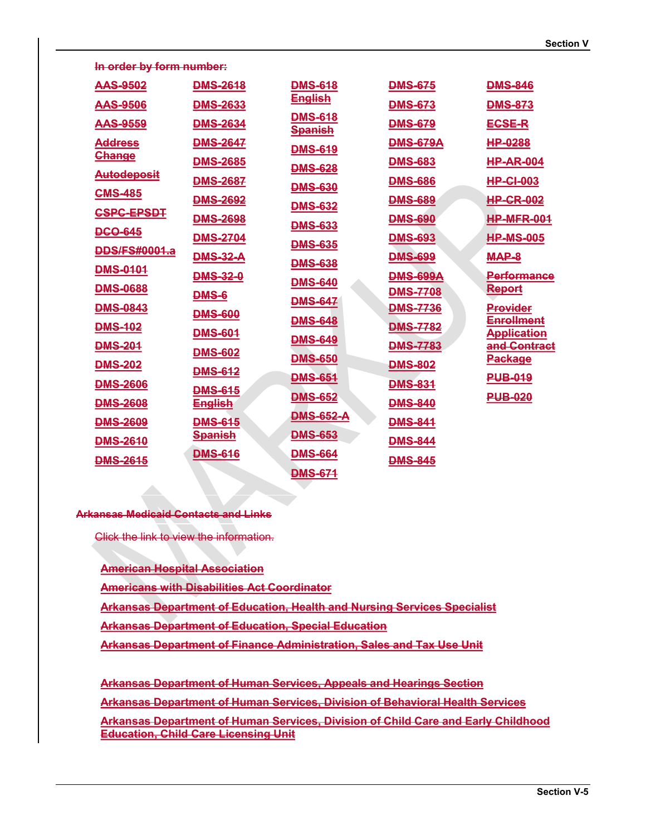| In order by form number: |                 |                                  |                 |                                         |
|--------------------------|-----------------|----------------------------------|-----------------|-----------------------------------------|
| <b>AAS-9502</b>          | <b>DMS-2618</b> | <b>DMS-618</b>                   | <b>DMS-675</b>  | <b>DMS-846</b>                          |
| <b>AAS-9506</b>          | <b>DMS-2633</b> | <b>English</b>                   | <b>DMS-673</b>  | <b>DMS-873</b>                          |
| <b>AAS-9559</b>          | <b>DMS-2634</b> | <b>DMS-618</b><br><b>Spanish</b> | <b>DMS-679</b>  | <b>ECSE-R</b>                           |
| <b>Address</b>           | <b>DMS-2647</b> | <b>DMS-619</b>                   | <b>DMS-679A</b> | HP-0288                                 |
| <b>Change</b>            | <b>DMS-2685</b> | <b>DMS-628</b>                   | <b>DMS-683</b>  | <b>HP-AR-004</b>                        |
| <b>Autodeposit</b>       | <b>DMS-2687</b> | <b>DMS-630</b>                   | <b>DMS-686</b>  | <b>HP-CI-003</b>                        |
| <b>CMS-485</b>           | <b>DMS-2692</b> | <b>DMS-632</b>                   | <b>DMS-689</b>  | <b>HP-CR-002</b>                        |
| <b>CSPC-EPSDT</b>        | <b>DMS-2698</b> | <b>DMS-633</b>                   | <b>DMS-690</b>  | <b>HP-MFR-001</b>                       |
| <b>DCO-645</b>           | <b>DMS-2704</b> |                                  | <b>DMS-693</b>  | <b>HP-MS-005</b>                        |
| <b>DDS/FS#0001.a</b>     | <b>DMS-32-A</b> | <b>DMS-635</b>                   | <b>DMS-699</b>  | MAP-8                                   |
| <b>DMS-0101</b>          | <b>DMS-32-0</b> | <b>DMS-638</b>                   | <b>DMS-699A</b> | <b>Performance</b>                      |
| <b>DMS-0688</b>          | <b>DMS-6</b>    | <b>DMS-640</b>                   | <b>DMS-7708</b> | Report                                  |
| <b>DMS-0843</b>          | <b>DMS-600</b>  | <b>DMS-647</b>                   | <b>DMS-7736</b> | Provider                                |
| <b>DMS-102</b>           | <b>DMS-601</b>  | <b>DMS-648</b>                   | <b>DMS-7782</b> | <b>Enrollment</b><br><b>Application</b> |
| <b>DMS-201</b>           | <b>DMS-602</b>  | <b>DMS-649</b>                   | <b>DMS-7783</b> | and Contract                            |
| <b>DMS-202</b>           | <b>DMS-612</b>  | <b>DMS-650</b>                   | <b>DMS-802</b>  | <b>Package</b>                          |
| <b>DMS-2606</b>          | <b>DMS-615</b>  | <b>DMS-654</b>                   | <b>DMS-831</b>  | <b>PUB-019</b>                          |
| <b>DMS-2608</b>          | <b>English</b>  | <b>DMS-652</b>                   | <b>DMS-840</b>  | <b>PUB-020</b>                          |
| <b>DMS-2609</b>          | <b>DMS-615</b>  | <b>DMS-652-A</b>                 | <b>DMS-844</b>  |                                         |
| <b>DMS-2610</b>          | <b>Spanish</b>  | <b>DMS-653</b>                   | <b>DMS-844</b>  |                                         |
| <b>DMS-2615</b>          | <b>DMS-616</b>  | <b>DMS-664</b>                   | <b>DMS-845</b>  |                                         |
|                          |                 | <b>DMS-674</b>                   |                 |                                         |

# Arkansas Medicaid Contacts and Links

Click the link to view the information.

American Hospital Association

Americans with Disabilities Act Coordinator

Arkansas Department of Education, Health and Nursing Services Specialist

Arkansas Department of Education, Special Education

Arkansas Department of Finance Administration, Sales and Tax Use Unit

Arkansas Department of Human Services, Appeals and Hearings Section MS-2619<br>
MS-2616<br>
MS-2615<br>
MS-2615<br>
DMS-671<br>
Rese Medicald Contacts and Links<br>
DMS-671<br>
Rese Medicald Contacts and Links<br>
Click the link to-view the information.<br>
Arkansas Department of Education. Special Education<br>
Arkans Arkansas Department of Human Services, Division of Child Care and Early Childhood Education, Child Care Licensing Unit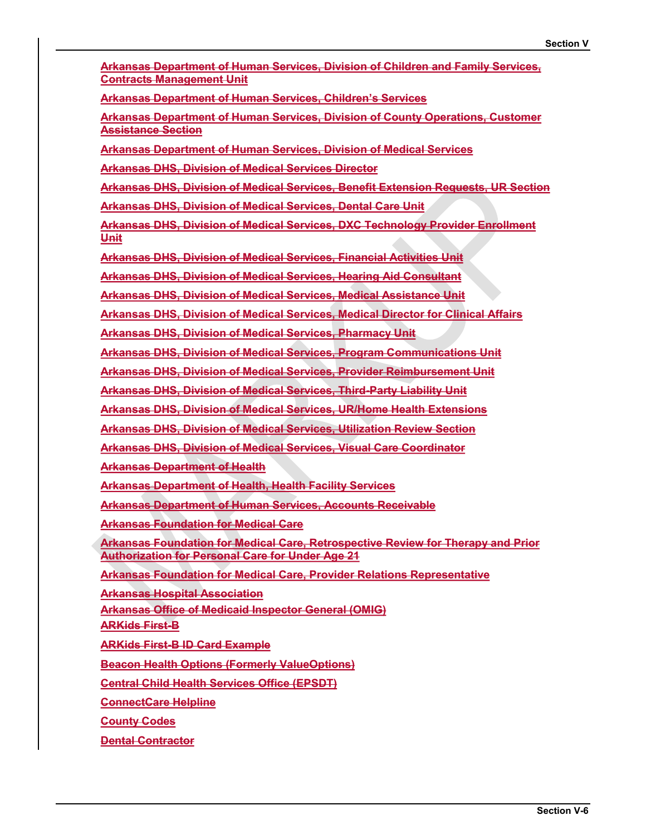Unit Contracts Management Unit<br>Arkansas Department of Human Services, Children's Services<br>Arkansas Department of Human Services, Division of County Operations, Customer<br>Assistance Section<br>Arkansas DHS, Division of Medical Servi

Arkansas DHS, Division of Medical Services, Provider Reimbursement Unit

Arkansas DHS, Division of Medical Services, Third-Party Liability Unit

Arkansas DHS, Division of Medical Services, UR/Home Health Extensions

Arkansas DHS, Division of Medical Services, Utilization Review Section

Arkansas DHS, Division of Medical Services, Visual Care Coordinator

Arkansas Department of Health

Arkansas Department of Health, Health Facility Services

Arkansas Department of Human Services, Accounts Receivable

Arkansas Foundation for Medical Care

Arkansas Foundation for Medical Care, Retrospective Review for Therapy and Prior Authorization for Personal Care for Under Age 21

Arkansas Foundation for Medical Care, Provider Relations Representative

Arkansas Hospital Association

Arkansas Office of Medicaid Inspector General (OMIG)

ARKids First-B

ARKids First-B ID Card Example

Beacon Health Options (Formerly ValueOptions)

Central Child Health Services Office (EPSDT)

ConnectCare Helpline

County Codes

Dental Contractor